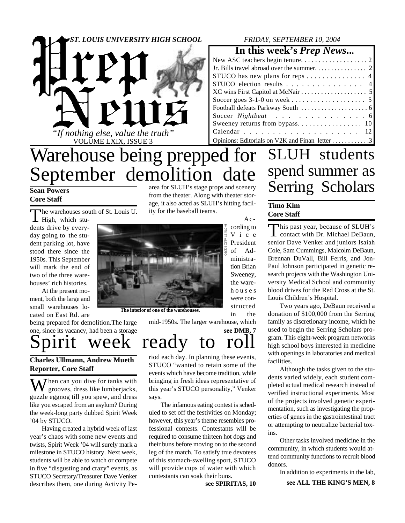

# Warehouse being prepped for September demolition date

#### **Sean Powers Core Staff**

The warehouses sou The warehouses south of St. Louis U.

dents drive by everyday going to the student parking lot, have stood there since the 1950s. This September will mark the end of two of the three warehouses' rich histories.

At the present moment, both the large and small warehouses located on East Rd. are

being prepared for demolition.The large one, since its vacancy, had been a storage

**Charles Ullmann, Andrew Mueth**

### **Reporter, Core Staff**

 $\overline{J}$  hen can you dive for tanks with grooves, dress like lumberjacks, guzzle eggnog till you spew, and dress like you escaped from an asylum? During the week-long party dubbed Spirit Week '04 by STUCO.

Having created a hybrid week of last year's chaos with some new events and twists, Spirit Week '04 will surely mark a milestone in STUCO history. Next week, students will be able to watch or compete in five "disgusting and crazy" events, as STUCO Secretary/Treasurer Dave Venker describes them, one during Activity Pearea for SLUH's stage props and scenery from the theater. Along with theater storage, it also acted as SLUH's hitting facility for the baseball teams.



**The interior of one of the warehouses.**

mid-1950s. The larger warehouse, which

### **see DMB, 7** Spirit week ready to roll

riod each day. In planning these events, STUCO "wanted to retain some of the events which have become tradition, while bringing in fresh ideas representative of this year's STUCO personality," Venker says.

The infamous eating contest is scheduled to set off the festivities on Monday; however, this year's theme resembles professional contests. Contestants will be required to consume thirteen hot dogs and their buns before moving on to the second leg of the match. To satisfy true devotees of this stomach-swelling sport, STUCO will provide cups of water with which contestants can soak their buns.

**see SPIRITAS, 10**

### *FRIDAY, SEPTEMBER 10, 2004*

**In this week's** *Prep News***...**

| STUCO has new plans for reps 4                 |
|------------------------------------------------|
| STUCO election results 4                       |
|                                                |
|                                                |
|                                                |
| Soccer Nightbeat 6                             |
|                                                |
|                                                |
| Opinions: Editorials on V2K and Finan letter 3 |

## SLUH students spend summer as Serring Scholars

#### **Timo Kim Core Staff**

According to V i c e President of Administration Brian Sweeney, the wareh o u s e s were constructed in the

This past year, because of SLUH's<br>contact with Dr. Michael DeBaun, his past year, because of SLUH's senior Dave Venker and juniors Isaiah Cole, Sam Cummings, Malcolm DeBaun, Brennan DuVall, Bill Ferris, and Jon-Paul Johnson participated in genetic research projects with the Washington University Medical School and community blood drives for the Red Cross at the St. Louis Children's Hospital.

Two years ago, DeBaun received a donation of \$100,000 from the Serring family as discretionary income, which he used to begin the Serring Scholars program. This eight-week program networks high school boys interested in medicine with openings in laboratories and medical facilities.

Although the tasks given to the students varied widely, each student completed actual medical research instead of verified instructional experiments. Most of the projects involved genetic experimentation, such as investigating the properties of genes in the gastrointestinal tract or attempting to neutralize bacterial toxins.

Other tasks involved medicine in the community, in which students would attend community functions to recruit blood donors.

**see ALL THE KING'S MEN, 8** In addition to experiments in the lab,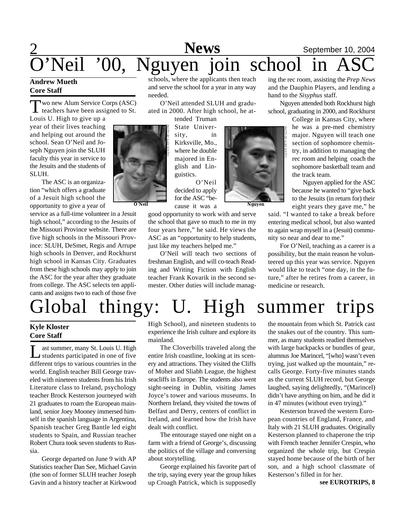### 2 **September 10, 2004**<br>**SChool** in ASC **News** Neil '00, Nguyen join school in

#### **Andrew Mueth Core Staff**

Two new Alum Service Corps (ASC)<br>teachers have been assigned to St. wo new Alum Service Corps (ASC)

Louis U. High to give up a year of their lives teaching and helping out around the school. Sean O'Neil and Joseph Nguyen join the SLUH faculty this year in service to the Jesuits and the students of SLUH.

The ASC is an organization "which offers a graduate of a Jesuit high school the opportunity to give a year of

service as a full-time volunteer in a Jesuit high school," according to the Jesuits of the Missouri Province website. There are five high schools in the Missouri Province: SLUH, DeSmet, Regis and Arrupe high schools in Denver, and Rockhurst high school in Kansas City. Graduates from these high schools may apply to join the ASC for the year after they graduate from college. The ASC selects ten applicants and assigns two to each of those five



schools, where the applicants then teach and serve the school for a year in any way needed.

O'Neil attended SLUH and graduated in 2000. After high school, he at-

> tended Truman State University, in Kirksville, Mo., where he double majored in English and Linguistics.

O'Neil decided to apply for the ASC "because it was a **O'Neil Nguyen**

good opportunity to work with and serve the school that gave so much to me in my four years here," he said. He views the ASC as an "opportunity to help students, just like my teachers helped me."

O'Neil will teach two sections of freshman English, and will co-teach Reading and Writing Fiction with English teacher Frank Kovarik in the second semester. Other duties will include manag-

ing the rec room, assisting the *Prep News* and the Dauphin Players, and lending a hand to the *Sisyphus* staff.

Nguyen attended both Rockhurst high school, graduating in 2000, and Rockhurst

College in Kansas City, where he was a pre-med chemistry major. Nguyen will teach one section of sophomore chemistry, in addition to managing the rec room and helping coach the sophomore basketball team and the track team.

 Nguyen applied for the ASC because he wanted to "give back to the Jesuits (in return for) their eight years they gave me," he

said. "I wanted to take a break before entering medical school, but also wanted to again wrap myself in a (Jesuit) community so near and dear to me."

For O'Neil, teaching as a career is a possibility, but the main reason he volunteered up this year was service. Nguyen would like to teach "one day, in the future," after he retires from a career, in medicine or research.

# Global thingy: U. High summer trips

### **Kyle Kloster Core Staff**

 $\prod_{\ldots}$ ast summer, many St. Louis U. High students participated in one of five different trips to various countries in the world. English teacher Bill George traveled with nineteen students from his Irish Literature class to Ireland, psychology teacher Brock Kesterson journeyed with 21 graduates to roam the European mainland, senior Joey Mooney immersed himself in the spanish language in Argentina, Spanish teacher Greg Bantle led eight students to Spain, and Russian teacher Robert Chura took seven students to Russia.

George departed on June 9 with AP Statistics teacher Dan See, Michael Gavin (the son of former SLUH teacher Joseph Gavin and a history teacher at Kirkwood

High School), and nineteen students to experience the Irish culture and explore its mainland.

The Cloverbills traveled along the entire Irish coastline, looking at its scenery and attractions. They visited the Cliffs of Moher and Sliabh League, the highest seacliffs in Europe. The students also went sight-seeing in Dublin, visiting James Joyce's tower and various museums. In Northern Ireland, they visited the towns of Belfast and Derry, centers of conflict in Ireland, and learned how the Irish have dealt with conflict.

The entourage stayed one night on a farm with a friend of George's, discussing the politics of the village and conversing about storytelling.

George explained his favorite part of the trip, saying every year the group hikes up Croagh Patrick, which is supposedly

the mountain from which St. Patrick cast the snakes out of the country. This summer, as many students readied themselves with large backpacks or bundles of gear, alumnus Joe Marincel, "[who] wasn't even trying, just walked up the mountain," recalls George. Forty-five minutes stands as the current SLUH record, but George laughed, saying delightedly, "(Marincel) didn't have anything on him, and he did it in 47 minutes (without even trying)."

Kesterson braved the western European countries of England, France, and Italy with 21 SLUH graduates. Originally Kesterson planned to chaperone the trip with French teacher Jennifer Crespin, who organized the whole trip, but Crespin stayed home because of the birth of her son, and a high school classmate of Kesterson's filled in for her.

**see EUROTRIPS, 8**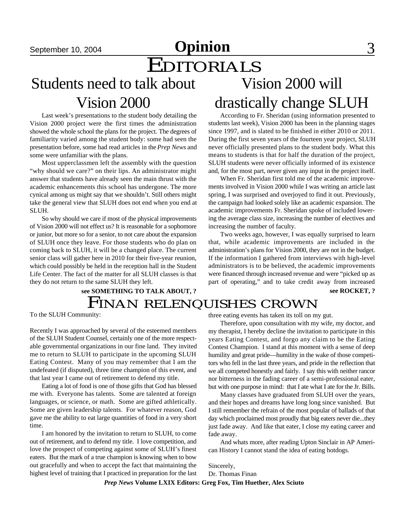## September 10, 2004 **Opinion** 3

# **EDITORIALS**

## Students need to talk about Vision 2000

Last week's presentations to the student body detailing the Vision 2000 project were the first times the administration showed the whole school the plans for the project. The degrees of familiarity varied among the student body: some had seen the presentation before, some had read articles in the *Prep News* and some were unfamiliar with the plans.

Most upperclassmen left the assembly with the question "why should we care?" on their lips. An administrator might answer that students have already seen the main thrust with the academic enhancements this school has undergone. The more cynical among us might say that we shouldn't. Still others might take the general view that SLUH does not end when you end at SLUH.

So why should we care if most of the physical improvements of Vision 2000 will not effect us? It is reasonable for a sophomore or junior, but more so for a senior, to not care about the expansion of SLUH once they leave. For those students who do plan on coming back to SLUH, it will be a changed place. The current senior class will gather here in 2010 for their five-year reunion, which could possibly be held in the reception hall in the Student Life Center. The fact of the matter for all SLUH classes is that they do not return to the same SLUH they left.

### FINAN RELENQUISHES CROWN **see SOMETHING TO TALK ABOUT, ? see ROCKET, ?**

To the SLUH Community:

Recently I was approached by several of the esteemed members of the SLUH Student Counsel, certainly one of the more respectable governmental organizations in our fine land. They invited me to return to SLUH to participate in the upcoming SLUH Eating Contest. Many of you may remember that I am the undefeated (if disputed), three time champion of this event, and that last year I came out of retirement to defend my title.

Eating a lot of food is one of those gifts that God has blessed me with. Everyone has talents. Some are talented at foreign languages, or science, or math. Some are gifted athletically. Some are given leadership talents. For whatever reason, God gave me the ability to eat large quantities of food in a very short time.

I am honored by the invitation to return to SLUH, to come out of retirement, and to defend my title. I love competition, and love the prospect of competing against some of SLUH's finest eaters. But the mark of a true champion is knowing when to bow out gracefully and when to accept the fact that maintaining the highest level of training that I practiced in preparation for the last

According to Fr. Sheridan (using information presented to students last week), Vision 2000 has been in the planning stages since 1997, and is slated to be finished in either 2010 or 2011. During the first seven years of the fourteen year project, SLUH never officially presented plans to the student body. What this means to students is that for half the duration of the project, SLUH students were never officially informed of its existence and, for the most part, never given any input in the project itself.

Vision 2000 will

drastically change SLUH

When Fr. Sheridan first told me of the academic improvements involved in Vision 2000 while I was writing an article last spring, I was surprised and overjoyed to find it out. Previously, the campaign had looked solely like an academic expansion. The academic improvements Fr. Sheridan spoke of included lowering the average class size, increasing the number of electives and increasing the number of faculty.

Two weeks ago, however, I was equally surprised to learn that, while academic improvements are included in the administration's plans for Vision 2000, they are not in the budget. If the information I gathered from interviews with high-level administrators is to be believed, the academic improvements were financed through increased revenue and were "picked up as part of operating," and to take credit away from increased

three eating events has taken its toll on my gut.

Therefore, upon consultation with my wife, my doctor, and my therapist, I hereby decline the invitation to participate in this years Eating Contest, and forgo any claim to be the Eating Contest Champion. I stand at this moment with a sense of deep humility and great pride—humility in the wake of those competitors who fell in the last three years, and pride in the reflection that we all competed honestly and fairly. I say this with neither rancor nor bitterness in the fading career of a semi-professional eater, but with one purpose in mind: that I ate what I ate for the Jr. Bills.

Many classes have graduated from SLUH over the years, and their hopes and dreams have long long since vanished. But I still remember the refrain of the most popular of ballads of that day which proclaimed most proudly that big eaters never die...they just fade away. And like that eater, I close my eating career and fade away.

And whats more, after reading Upton Sinclair in AP American History I cannot stand the idea of eating hotdogs.

Sincerely,

Dr. Thomas Finan

*Prep News* **Volume LXIX Editors: Greg Fox, Tim Huether, Alex Sciuto**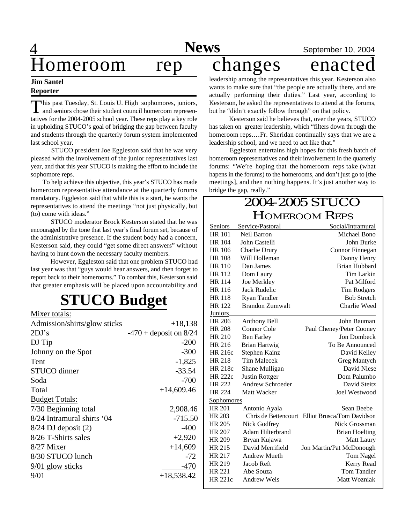### **News** September 10, 2004

leadership among the representatives this year. Kesterson also wants to make sure that "the people are actually there, and are actually performing their duties." Last year, according to Kesterson, he asked the representatives to attend at the forums, but he "didn't exactly follow through" on that policy.

 Kesterson said he believes that, over the years, STUCO has taken on greater leadership, which "filters down through the homeroom reps.…Fr. Sheridan continually says that we are a leadership school, and we need to act like that."

 Eggleston entertains high hopes for this fresh batch of homeroom representatives and their involvement in the quarterly forums: "We're hoping that the homeroom reps take (what hapens in the forums) to the homerooms, and don't just go to [the meetings], and then nothing happens. It's just another way to bridge the gap, really."

### 2004-2005 STUCO HOMEROOM REPS

| Seniors           | Service/Pastoral        | Social/Intramural          |  |
|-------------------|-------------------------|----------------------------|--|
| <b>HR 101</b>     | Neil Barron             | Michael Bono               |  |
| <b>HR 104</b>     | John Castelli           | John Burke                 |  |
| <b>HR 106</b>     | Charlie Drury           | Connor Finnegan            |  |
| <b>HR 108</b>     | Will Holleman           | Danny Henry                |  |
| <b>HR 110</b>     | Dan James               | <b>Brian Hubbard</b>       |  |
| <b>HR 112</b>     | Dom Laury               | Tim Larkin                 |  |
| <b>HR 114</b>     | Joe Merkley             | Pat Milford                |  |
| <b>HR</b> 116     | <b>Jack Rudelic</b>     | Tim Rodgers                |  |
| <b>HR 118</b>     | <b>Ryan Tandler</b>     | <b>Bob Stretch</b>         |  |
| <b>HR 122</b>     | <b>Brandon Zumwalt</b>  | Charlie Weed               |  |
| <b>Juniors</b>    |                         |                            |  |
| <b>HR 206</b>     | Anthony Bell            | John Bauman                |  |
| <b>HR 208</b>     | Connor Cole             | Paul Cheney/Peter Cooney   |  |
| <b>HR 210</b>     | <b>Ben Farley</b>       | Jon Dombeck                |  |
| HR 216            | <b>Brian Hartwig</b>    | To Be Announced            |  |
| HR 216c           | Stephen Kainz           | David Kelley               |  |
| <b>HR 218</b>     | <b>Tim Malecek</b>      | Greg Mantych               |  |
| HR 218c           | Shane Mulligan          | David Niese                |  |
| <b>HR 222c</b>    | Justin Rottger          | Dom Palumbo                |  |
| <b>HR 222</b>     | <b>Andrew Schroeder</b> | David Steitz               |  |
| <b>HR 224</b>     | Matt Wacker             | Joel Westwood              |  |
| <b>Sophomores</b> |                         |                            |  |
| <b>HR 201</b>     | Antonio Ayala           | Sean Beebe                 |  |
| <b>HR 203</b>     | Chris de Bettencourt    | Elliot Brusca/Tom Davidson |  |
| HR 205            | Nick Godfrey            | Nick Grossman              |  |
| <b>HR 207</b>     | <b>Adam Hilterbrand</b> | <b>Brian Hoelting</b>      |  |
| <b>HR 209</b>     | Bryan Kujawa            | Matt Laury                 |  |
| HR 215            | David Merrifield        | Jon Martin/Pat McDonough   |  |
| HR 217            | <b>Andrew Mueth</b>     | <b>Tom Nagel</b>           |  |
| HR 219            | Jacob Reft              | Kerry Read                 |  |
| <b>HR 221</b>     | Abe Souza               | <b>Tom Tandler</b>         |  |
| HR 221c           | <b>Andrew Weis</b>      | Matt Wozniak               |  |
|                   |                         |                            |  |

## $\overline{4}$ Homeroom rep changes enacted

#### **Jim Santel Reporter**

This past Tuesday, St. Louis U. High sophomores, juniors, and seniors chose their student council homeroom represenhis past Tuesday, St. Louis U. High sophomores, juniors, tatives for the 2004-2005 school year. These reps play a key role in upholding STUCO's goal of bridging the gap between faculty and students through the quarterly forum system implemented last school year.

 STUCO president Joe Eggleston said that he was very pleased with the involvement of the junior representatives last year, and that this year STUCO is making the effort to include the sophomore reps.

To help achieve this objective, this year's STUCO has made homeroom representative attendance at the quarterly forums mandatory. Eggleston said that while this is a start, he wants the representatives to attend the meetings "not just physically, but (to) come with ideas."

 STUCO moderator Brock Kesterson stated that he was encouraged by the tone that last year's final forum set, because of the administrative presence. If the student body had a concern, Kesterson said, they could "get some direct answers" without having to hunt down the necessary faculty members.

 However, Eggleston said that one problem STUCO had last year was that "guys would hear answers, and then forget to report back to their homerooms." To combat this, Kesterson said that greater emphasis will be placed upon accountability and

## **STUCO Budget**

| Mixer totals:                |                          |
|------------------------------|--------------------------|
| Admission/shirts/glow sticks | $+18,138$                |
| 2DJ's                        | $-470 +$ deposit on 8/24 |
| DJ Tip                       | $-200$                   |
| Johnny on the Spot           | $-300$                   |
| Tent                         | $-1,825$                 |
| <b>STUCO</b> dinner          | $-33.54$                 |
| Soda                         | $-700$                   |
| Total                        | $+14,609.46$             |
| <b>Budget Totals:</b>        |                          |
| 7/30 Beginning total         | 2,908.46                 |
| 8/24 Intramural shirts '04   | $-715.50$                |
| $8/24$ DJ deposit $(2)$      | $-400$                   |
| 8/26 T-Shirts sales          | $+2,920$                 |
| 8/27 Mixer                   | $+14,609$                |
| 8/30 STUCO lunch             | -72                      |
| $9/01$ glow sticks           | $-470$                   |
| 9/01                         | $+18,538.42$             |
|                              |                          |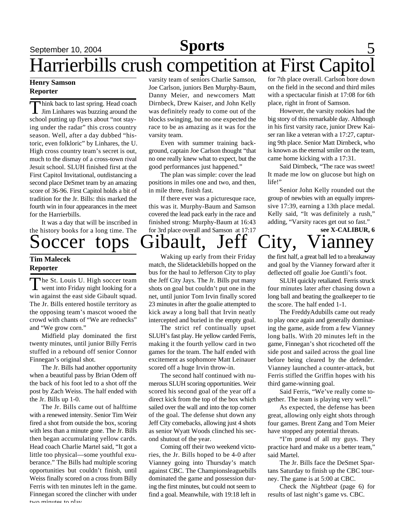### September 10, 2004 **Sports** 5 **Sports**

## Harrierbills crush competition at First Capitol

#### **Henry Samson Reporter**

Think back to last spring. Head coach<br>Jim Linhares was buzzing around the<br>school putting up flyers about "not stayhink back to last spring. Head coach Jim Linhares was buzzing around the ing under the radar" this cross country season. Well, after a day dubbed "historic, even folkloric" by Linhares, the U. High cross country team's secret is out, much to the dismay of a cross-town rival Jesuit school. SLUH finished first at the First Capitol Invitational, outdistancing a second place DeSmet team by an amazing score of 36-96. First Capitol holds a bit of tradition for the Jr. Bills: this marked the fourth win in four appearances in the meet for the Harrierbills.

It was a day that will be inscribed in the history books for a long time. The

Soccer tops Gibault, Jeff City, Vianney

#### **Tim Malecek Reporter**

The St. Louis U. High soccer team<br>went into Friday night looking for a The St. Louis U. High soccer team win against the east side Gibault squad. The Jr. Bills entered hostile territory as the opposing team's mascot wooed the crowd with chants of "We are rednecks" and "We grow corn."

Midfield play dominated the first twenty minutes, until junior Billy Ferris stuffed in a rebound off senior Connor Finnegan's original shot.

The Jr. Bills had another opportunity when a beautiful pass by Brian Odem off the back of his foot led to a shot off the post by Zach Weiss. The half ended with the Jr. Bills up 1-0.

The Jr. Bills came out of halftime with a renewed intensity. Senior Tim Weir fired a shot from outside the box, scoring with less than a minute gone. The Jr. Bills then began accumulating yellow cards. Head coach Charlie Martel said, "It got a little too physical—some youthful exuberance." The Bills had multiple scoring opportunities but couldn't finish, until Weiss finally scored on a cross from Billy Ferris with ten minutes left in the game. Finnegan scored the clincher with under two minutes to play.

varsity team of seniors Charlie Samson, Joe Carlson, juniors Ben Murphy-Baum, Danny Meier, and newcomers Matt Dirnbeck, Drew Kaiser, and John Kelly was definitely ready to come out of the blocks swinging, but no one expected the race to be as amazing as it was for the varsity team.

Even with summer training background, captain Joe Carlson thought "that no one really knew what to expect, but the good performances just happened."

The plan was simple: cover the lead positions in miles one and two, and then, in mile three, finish fast.

If there ever was a picturesque race, this was it. Murphy-Baum and Samson covered the lead pack early in the race and finished strong: Murphy-Baum at 16:43 for 3rd place overall and Samson at 17:17

for 7th place overall. Carlson bore down on the field in the second and third miles with a spectacular finish at 17:08 for 6th place, right in front of Samson.

However, the varsity rookies had the big story of this remarkable day. Although in his first varsity race, junior Drew Kaiser ran like a veteran with a 17:27, capturing 9th place. Senior Matt Dirnbeck, who is known as the eternal smiler on the team, came home kicking with a 17:31.

Said Dirnbeck, "The race was sweet! It made me low on glucose but high on life!"

Senior John Kelly rounded out the group of newbies with an equally impressive 17:39, earning a 13th place medal. Kelly said, "It was definitely a rush," adding, "Varsity races get out so fast."

**see X-CALIBUR, 6**

Waking up early from their Friday match, the Slidetacklebills hopped on the bus for the haul to Jefferson City to play the Jeff City Jays. The Jr. Bills put many shots on goal but couldn't put one in the net, until junior Tom Irvin finally scored 23 minutes in after the goalie attempted to kick away a long ball that Irvin neatly intercepted and buried in the empty goal.

The strict ref continually upset SLUH's fast play. He yellow carded Ferris, making it the fourth yellow card in two games for the team. The half ended with excitement as sophomore Matt Leinauer scored off a huge Irvin throw-in.

The second half continued with numerous SLUH scoring opportunities. Weir scored his second goal of the year off a direct kick from the top of the box which sailed over the wall and into the top corner of the goal. The defense shut down any Jeff City comebacks, allowing just 4 shots as senior Wyatt Woods clinched his second shutout of the year.

Coming off their two weekend victories, the Jr. Bills hoped to be 4-0 after Vianney going into Thursday's match against CBC. The Championsleaguebills dominated the game and possession during the first minutes, but could not seem to find a goal. Meanwhile, with 19:18 left in

the first half, a great ball led to a breakaway and goal by the Vianney forward after it deflected off goalie Joe Guntli's foot.

SLUH quickly retaliated. Ferris struck four minutes later after chasing down a long ball and beating the goalkeeper to tie the score. The half ended 1-1.

The FreddyAdubills came out ready to play once again and generally dominating the game, aside from a few Vianney long balls. With 20 minutes left in the game, Finnegan's shot ricocheted off the side post and sailed across the goal line before being cleared by the defender. Vianney launched a counter-attack, but Ferris stifled the Griffin hopes with his third game-winning goal.

Said Ferris, "We've really come together. The team is playing very well."

As expected, the defense has been great, allowing only eight shots through four games. Brent Zang and Tom Meier have stopped any potential threats.

"I'm proud of all my guys. They practice hard and make us a better team," said Martel.

The Jr. Bills face the DeSmet Spartans Saturday to finish up the CBC tourney. The game is at 5:00 at CBC.

Check the *Nightbeat* (page 6) for results of last night's game vs. CBC.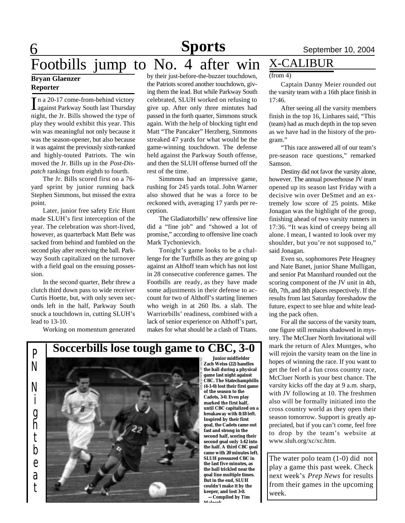## 6 Footbills jump to No. 4 after win X-CALIBUR

#### **Bryan Glaenzer Reporter**

In a 20-17 come-from-behind victory<br>against Parkway South last Thursday n a 20-17 come-from-behind victory night, the Jr. Bills showed the type of play they would exhibit this year. This win was meaningful not only because it was the season-opener, but also because it was against the previously sixth-ranked and highly-touted Patriots. The win moved the Jr. Bills up in the *Post-Dispatch* rankings from eighth to fourth.

The Jr. Bills scored first on a 76 yard sprint by junior running back Stephen Simmons, but missed the extra point.

Later, junior free safety Eric Hunt made SLUH's first interception of the year. The celebration was short-lived, however, as quarterback Matt Behr was sacked from behind and fumbled on the second play after receiving the ball. Parkway South capitalized on the turnover with a field goal on the ensuing possession.

In the second quarter, Behr threw a clutch third down pass to wide receiver Curtis Hoette, but, with only seven seconds left in the half, Parkway South snuck a touchdown in, cutting SLUH's lead to 13-10.

Working on momentum generated

by their just-before-the-buzzer touchdown, the Patriots scored another touchdown, giving them the lead. But while Parkway South celebrated, SLUH worked on refusing to give up. After only three mintutes had passed in the forth quarter, Simmons struck again. With the help of blocking tight end Matt "The Pancaker" Herzberg, Simmons streaked 47 yards for what would be the game-winning touchdown. The defense held against the Parkway South offense, and then the SLUH offense burned off the rest of the time.

Simmons had an impressive game, rushing for 245 yards total. John Warner also showed that he was a force to be reckoned with, averaging 17 yards per reception.

The Gladiatorbills' new offensive line did a "fine job" and "showed a lot of promise," according to offensive line coach Mark Tychonievich.

Tonight's game looks to be a challenge for the Turfbills as they are going up against an Althoff team which has not lost in 28 consecutive conference games. The Footbills are ready, as they have made some adjustments in their defense to account for two of Althoff's starting linemen who weigh in at 260 lbs. a slab. The Warriorbills' readiness, combined with a lack of senior experience on Althoff's part, makes for what should be a clash of Titans.





 **Junior midfielder Zach Weiss (22) handles the ball during a physical game last night against CBC. The Statechampbills (4-1-0) lost their first game of the season to the Cadets, 3-0. Even play marked the first half, until CBC capitalized on a breakaway with 8:18 left. Inspired by their first goal, the Cadets came out fast and strong in the second half, scoring their second goal only 1:42 into the half. A third CBC goal came with 20 minutes left. SLUH pressured CBC in the last five minutes, as the ball trickled near the goal line multiple times. But in the end, SLUH couldn't make it by the keeper, and lost 3-0.**

 **—Compiled by Tim Malecek**

#### $(from 4)$

Captain Danny Meier rounded out the varsity team with a 16th place finish in 17:46.

After seeing all the varsity members finish in the top 16, Linhares said, "This (team) had as much depth in the top seven as we have had in the history of the program."

"This race answered all of our team's pre-season race questions," remarked Samson.

Destiny did not favor the varsity alone, however. The annual powerhouse JV team opened up its season last Friday with a decisive win over DeSmet and an extremely low score of 25 points. Mike Jonagan was the highlight of the group, finishing ahead of two varsity runners in 17:36. "It was kind of creepy being all alone. I mean, I wanted to look over my shoulder, but you're not supposed to," said Jonagan.

Even so, sophomores Pete Heagney and Nate Banet, junior Shane Mulligan, and senior Pat Mannhard rounded out the scoring component of the JV unit in 4th, 6th, 7th, and 8th places respectively. If the results from last Saturday foreshadow the future, expect to see blue and white leading the pack often.

For all the success of the varsity team, one figure still remains shadowed in mystery. The McCluer North Invitational will mark the return of Alex Muntges, who will rejoin the varsity team on the line in hopes of winning the race. If you want to get the feel of a fun cross country race, McCluer North is your best chance. The varsity kicks off the day at 9 a.m. sharp, with JV following at 10. The freshmen also will be formally initiated into the cross country world as they open their season tomorrow. Support is greatly appreciated, but if you can't come, feel free to drop by the team's website at www.sluh.org/xc/xc.htm.

The water polo team (1-0) did not play a game this past week. Check next week's *Prep News* for results from their games in the upcoming week.

## **Soccerbills lose tough game to CBC, 3-0**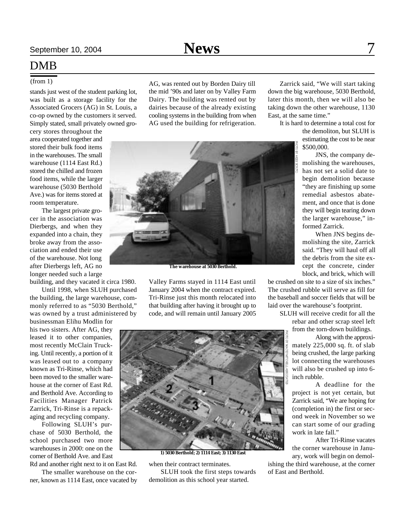#### (from 1)

stands just west of the student parking lot, was built as a storage facility for the Associated Grocers (AG) in St. Louis, a co-op owned by the customers it served. Simply stated, small privately owned gro-

cery stores throughout the area cooperated together and stored their bulk food items in the warehouses. The small warehouse (1114 East Rd.) stored the chilled and frozen food items, while the larger warehouse (5030 Berthold Ave.) was for items stored at room temperature.

The largest private grocer in the association was Dierbergs, and when they expanded into a chain, they broke away from the association and ended their use of the warehouse. Not long after Dierbergs left, AG no longer needed such a large

building, and they vacated it circa 1980. Until 1998, when SLUH purchased the building, the large warehouse, commonly referred to as "5030 Berthold," was owned by a trust administered by

businessman Elihu Modlin for his two sisters. After AG, they leased it to other companies, most recently McClain Trucking. Until recently, a portion of it was leased out to a company known as Tri-Rinse, which had been moved to the smaller warehouse at the corner of East Rd. and Berthold Ave. According to Facilities Manager Patrick Zarrick, Tri-Rinse is a repackaging and recycling company.

Following SLUH's purchase of 5030 Berthold, the school purchased two more warehouses in 2000: one on the corner of Berthold Ave. and East

Rd and another right next to it on East Rd. The smaller warehouse on the corner, known as 1114 East, once vacated by AG, was rented out by Borden Dairy till the mid '90s and later on by Valley Farm Dairy. The building was rented out by dairies because of the already existing cooling systems in the building from when AG used the building for refrigeration.



**The warehouse at 5030 Berthold.**

Valley Farms stayed in 1114 East until January 2004 when the contract expired. Tri-Rinse just this month relocated into that building after having it brought up to code, and will remain until January 2005



**1) 5030 Berthold; 2) 1114 East; 3) 1130 East**

when their contract terminates.

SLUH took the first steps towards demolition as this school year started.

Zarrick said, "We will start taking down the big warehouse, 5030 Berthold, later this month, then we will also be taking down the other warehouse, 1130 East, at the same time."

> It is hard to determine a total cost for the demoliton, but SLUH is estimating the cost to be near \$500,000.

> > JNS, the company demolishing the warehouses, has not set a solid date to begin demolition because "they are finishing up some remedial asbestos abatement, and once that is done they will begin tearing down the larger warehouse," informed Zarrick.

> > When JNS begins demolishing the site, Zarrick said. "They will haul off all the debris from the site except the concrete, cinder block, and brick, which will

be crushed on site to a size of six inches." The crushed rubble will serve as fill for the baseball and soccer fields that will be laid over the warehouse's footprint.

> SLUH will receive credit for all the rebar and other scrap steel left

from the torn-down buildings. Along with the approximately 225,000 sq. ft. of slab being crushed, the large parking lot connecting the warehouses will also be crushed up into 6-

inch rubble. A deadline for the project is not yet certain, but

Zarrick said, "We are hoping for (completion in) the first or second week in November so we can start some of our grading work in late fall."

After Tri-Rinse vacates the corner warehouse in January, work will begin on demol-

ishing the third warehouse, at the corner of East and Berthold.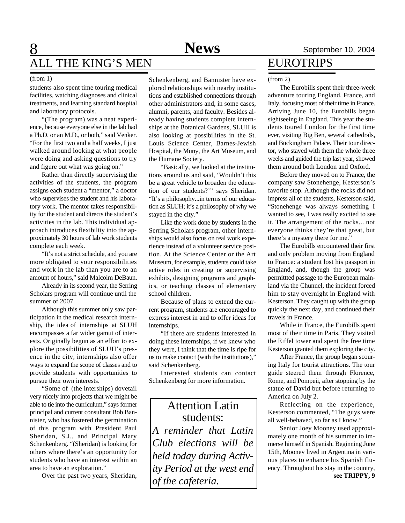#### (from 1)

students also spent time touring medical facilities, watching diagnoses and clinical treatments, and learning standard hospital and laboratory protocols.

"(The program) was a neat experience, because everyone else in the lab had a Ph.D. or an M.D., or both," said Venker. "For the first two and a half weeks, I just walked around looking at what people were doing and asking questions to try and figure out what was going on."

Rather than directly supervising the activities of the students, the program assigns each student a "mentor," a doctor who supervises the student and his laboratory work. The mentor takes responsibility for the student and directs the student's activities in the lab. This individual approach introduces flexibility into the approximately 30 hours of lab work students complete each week.

"It's not a strict schedule, and you are more obligated to your responsibilities and work in the lab than you are to an amount of hours," said Malcolm DeBaun.

Already in its second year, the Serring Scholars program will continue until the summer of 2007.

Although this summer only saw participation in the medical research internship, the idea of internships at SLUH encompasses a far wider gamut of interests. Originally begun as an effort to explore the possibilities of SLUH's presence in the city, internships also offer ways to expand the scope of classes and to provide students with opportunities to pursue their own interests.

"Some of (the interships) dovetail very nicely into projects that we might be able to tie into the curriculum," says former principal and current consultant Bob Bannister, who has fostered the germination of this program with President Paul Sheridan, S.J., and Principal Mary Schenkenberg. "(Sheridan) is looking for others where there's an opportunity for students who have an interest within an area to have an exploration."

Over the past two years, Sheridan,

Schenkenberg, and Bannister have explored relationships with nearby institutions and established connections through other administrators and, in some cases, alumni, parents, and faculty. Besides already having students complete internships at the Botanical Gardens, SLUH is also looking at possibilities in the St. Louis Science Center, Barnes-Jewish Hospital, the Muny, the Art Museum, and the Humane Society.

"Basically, we looked at the institutions around us and said, 'Wouldn't this be a great vehicle to broaden the education of our students?'" says Sheridan. "It's a philosophy...in terms of our education as SLUH; it's a philosophy of why we stayed in the city."

Like the work done by students in the Serring Scholars program, other internships would also focus on real work experience instead of a volunteer service position. At the Science Center or the Art Museum, for example, students could take active roles in creating or supervising exhibits, designing programs and graphics, or teaching classes of elementary school children.

Because of plans to extend the current program, students are encouraged to express interest in and to offer ideas for internships.

"If there are students interested in doing these internships, if we knew who they were, I think that the time is ripe for us to make contact (with the institutions)," said Schenkenberg.

Interested students can contact Schenkenberg for more information.

### Attention Latin students:

*A reminder that Latin Club elections will be held today during Activity Period at the west end of the cafeteria.*

### EUROTRIPS

#### (from 2)

The Eurobills spent their three-week adventure touring England, France, and Italy, focusing most of their time in France. Arriving June 10, the Eurobills began sightseeing in England. This year the students toured London for the first time ever, visiting Big Ben, several cathedrals, and Buckingham Palace. Their tour director, who stayed with them the whole three weeks and guided the trip last year, showed them around both London and Oxford.

Before they moved on to France, the company saw Stonehenge, Kesterson's favorite stop. Although the rocks did not impress all of the students, Kesterson said, "Stonehenge was always something I wanted to see, I was really excited to see it. The arrangement of the rocks... not everyone thinks they're that great, but there's a mystery there for me."

The Eurobills encountered their first and only problem moving from England to France: a student lost his passport in England, and, though the group was permittted passage to the European mainland via the Chunnel, the incident forced him to stay overnight in England with Kesterson. They caught up with the group quickly the next day, and continued their travels in France.

While in France, the Eurobills spent most of their time in Paris. They visited the Eiffel tower and spent the free time Kesterson granted them exploring the city.

After France, the group began scouring Italy for tourist attractions. The tour guide steered them through Florence, Rome, and Pompeii, after stopping by the statue of David but before returning to America on July 2.

Reflecting on the experience, Kesterson commented, "The guys were all well-behaved, so far as I know."

**see TRIPPY, 9** Senior Joey Mooney used approximately one month of his summer to immerse himself in Spanish. Beginning June 15th, Mooney lived in Argentina in various places to enhance his Spanish fluency. Throughout his stay in the country,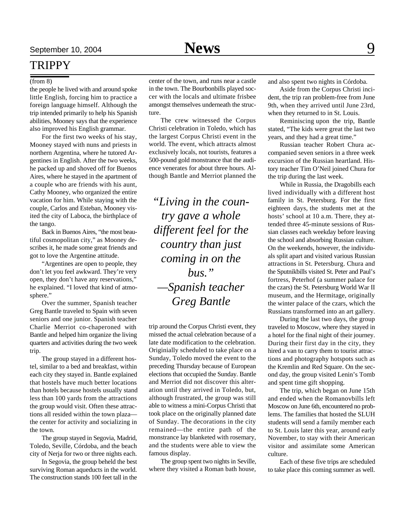### TRIPPY

#### (from 8)

the people he lived with and around spoke little English, forcing him to practice a foreign language himself. Although the trip intended primarily to help his Spanish abilities, Mooney says that the experience also improved his English grammar.

For the first two weeks of his stay, Mooney stayed with nuns and priests in northern Argentina, where he tutored Argentines in English. After the two weeks, he packed up and shoved off for Buenos Aires, where he stayed in the apartment of a couple who are friends with his aunt, Cathy Mooney, who organized the entire vacation for him. While staying with the couple, Carlos and Esteban, Mooney visited the city of Laboca, the birthplace of the tango.

Back in Buenos Aires, "the most beautiful cosmopolitan city," as Mooney describes it, he made some great friends and got to love the Argentine attitude.

"Argentines are open to people, they don't let you feel awkward. They're very open, they don't have any reservations," he explained. "I loved that kind of atmosphere."

Over the summer, Spanish teacher Greg Bantle traveled to Spain with seven seniors and one junior. Spanish teacher Charlie Merriot co-chaperoned with Bantle and helped him organize the living quarters and activities during the two week trip.

The group stayed in a different hostel, similar to a bed and breakfast, within each city they stayed in. Bantle explained that hostels have much better locations than hotels because hostels usually stand less than 100 yards from the attractions the group would visit. Often these attractions all resided within the town plaza the center for activity and socializing in the town.

The group stayed in Segovia, Madrid, Toledo, Seville, Córdoba, and the beach city of Nerja for two or three nights each.

In Segovia, the group beheld the best surviving Roman aqueducts in the world. The construction stands 100 feet tall in the

center of the town, and runs near a castle in the town. The Bourbonbills played soccer with the locals and ultimate frisbee amongst themselves underneath the structure.

The crew witnessed the Corpus Christi celebration in Toledo, which has the largest Corpus Christi event in the world. The event, which attracts almost exclusively locals, not tourists, features a 500-pound gold monstrance that the audience venerates for about three hours. Although Bantle and Merriot planned the

*"Living in the country gave a whole different feel for the country than just coming in on the bus." —Spanish teacher Greg Bantle*

trip around the Corpus Christi event, they missed the actual celebration because of a late date modification to the celebration. Originially scheduled to take place on a Sunday, Toledo moved the event to the preceding Thursday because of European elections that occupied the Sunday. Bantle and Merriot did not discover this alteration until they arrived in Toledo, but, although frustrated, the group was still able to witness a mini-Corpus Christi that took place on the originally planned date of Sunday. The decorations in the city remained—the entire path of the monstrance lay blanketed with rosemary, and the students were able to view the famous display.

The group spent two nights in Seville, where they visited a Roman bath house,

and also spent two nights in Córdoba.

Aside from the Corpus Christi incident, the trip ran problem-free from June 9th, when they arrived until June 23rd, when they returned to in St. Louis.

Reminiscing upon the trip, Bantle stated, "The kids were great the last two years, and they had a great time."

Russian teacher Robert Chura accompanied seven seniors in a three week excursion of the Russian heartland. History teacher Tim O'Neil joined Chura for the trip during the last week.

While in Russia, the Dragobills each lived individually with a different host family in St. Petersburg. For the first eighteen days, the students met at the hosts' school at 10 a.m. There, they attended three 45-minute sessions of Russian classes each weekday before leaving the school and absorbing Russian culture. On the weekends, however, the individuals split apart and visited various Russian attractions in St. Petersburg. Chura and the Sputnikbills visited St. Peter and Paul's fortress, Peterhof (a summer palace for the czars) the St. Petersburg World War II museum, and the Hermitage, originally the winter palace of the czars, which the Russians transformed into an art gallery.

During the last two days, the group traveled to Moscow, where they stayed in a hotel for the final night of their journey. During their first day in the city, they hired a van to carry them to tourist attractions and photography hotspots such as the Kremlin and Red Square. On the second day, the group visited Lenin's Tomb and spent time gift shopping.

The trip, which began on June 15th and ended when the Romanovbills left Moscow on June 6th, encountered no problems. The families that hosted the SLUH students will send a family member each to St. Louis later this year, around early November, to stay with their American visitor and assimilate some American culture.

Each of these five trips are scheduled to take place this coming summer as well.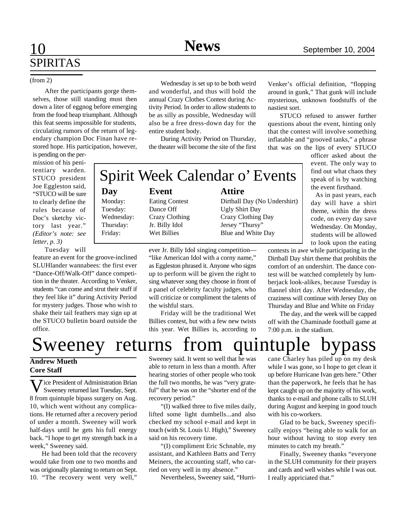## 10 **Sports News** September 10, 2004 SPIRITAS

#### (from 2)

After the participants gorge themselves, those still standing must then down a liter of eggnog before emerging from the food heap triumphant. Although this feat seems impossible for students, circulating rumors of the return of legendary champion Doc Finan have restored hope. His participation, however,

is pending on the permission of his penitentiary warden. STUCO president Joe Eggleston said, "STUCO will be sure to clearly define the rules because of Doc's sketchy victory last year." *(Editor's note: see letter, p. 3)*

Tuesday will

feature an event for the groove-inclined SLUHlander wannabees: the first ever "Dance-Off/Walk-Off" dance competition in the theater. According to Venker, students "can come and strut their stuff if they feel like it" during Activity Period for mystery judges. Those who wish to shake their tail feathers may sign up at the STUCO bulletin board outside the office.

Wednesday is set up to be both weird and wonderful, and thus will hold the annual Crazy Clothes Contest during Activity Period. In order to allow students to be as silly as possible, Wednesday will also be a free dress-down day for the entire student body.

During Activity Period on Thursday, the theater will become the site of the first

Spirit Week Calendar o' Events

### **Day Event Attire**

Monday: Eating Contest Dirtball Day (No Undershirt) Tuesday: Dance Off Ugly Shirt Day Wednesday: Crazy Clothing Crazy Clothing Day Thursday: Jr. Billy Idol Jersey "Thursy" Friday: Wet Billies Blue and White Day

> ever Jr. Billy Idol singing competition— "like American Idol with a corny name," as Eggleston phrased it. Anyone who signs up to perform will be given the right to sing whatever song they choose in front of a panel of celebrity faculty judges, who will criticize or compliment the talents of the wishful stars.

Friday will be the traditional Wet Billies contest, but with a few new twists this year. Wet Billies is, according to

Venker's official definition, "flopping around in gunk," That gunk will include mysterious, unknown foodstuffs of the nastiest sort.

STUCO refused to answer further questions about the event, hinting only that the contest will involve something inflatable and "grooved tanks," a phrase that was on the lips of every STUCO

> officer asked about the event. The only way to find out what chaos they speak of is by watching the event firsthand.

> As in past years, each day will have a shirt theme, within the dress code, on every day save Wednesday. On Monday, students will be allowed to look upon the eating

contests in awe while participating in the Dirtball Day shirt theme that prohibits the comfort of an undershirt. The dance contest will be watched completely by lumberjack look-alikes, because Tuesday is flannel shirt day. After Wednesday, the craziness will continue with Jersey Day on Thursday and Blue and White on Friday

The day, and the week will be capped off with the Chaminade football game at 7:00 p.m. in the stadium.

## Sweeney returns from quintuple bypass

### **Andrew Mueth Core Staff**

 $V$ ice President of Administration Brian<br>Sweeney returned last Tuesday, Sept. Sweeney returned last Tuesday, Sept. 8 from quintuple bipass surgery on Aug. 10, which went without any complications. He returned after a recovery period of under a month. Sweeney will work half-days until he gets his full energy back. "I hope to get my strength back in a week," Sweeney said.

He had been told that the recovery would take from one to two months and was origionally planning to return on Sept. 10. "The recovery went very well,"

Sweeney said. It went so well that he was able to return in less than a month. After hearing stories of other people who took the full two months, he was "very grateful" that he was on the "shorter end of the recovery period."

"(I) walked three to five miles daily, lifted some light dumbells...and also checked my school e-mail and kept in touch (with St. Louis U. High)," Sweeney said on his recovery time.

"(I) compliment Eric Schnable, my assistant, and Kathleen Batts and Terry Meiners, the accounting staff, who carried on very well in my absence."

Nevertheless, Sweeney said, "Hurri-

cane Charley has piled up on my desk while I was gone, so I hope to get clean it up before Hurricane Ivan gets here." Other than the paperwork, he feels that he has kept caught up on the majority of his work, thanks to e-mail and phone calls to SLUH during August and keeping in good touch with his co-workers.

Glad to be back, Sweeney specifically enjoys "being able to walk for an hour without having to stop every ten minutes to catch my breath."

Finally, Sweeney thanks "everyone in the SLUH community for their prayers and cards and well wishes while I was out. I really appriciated that."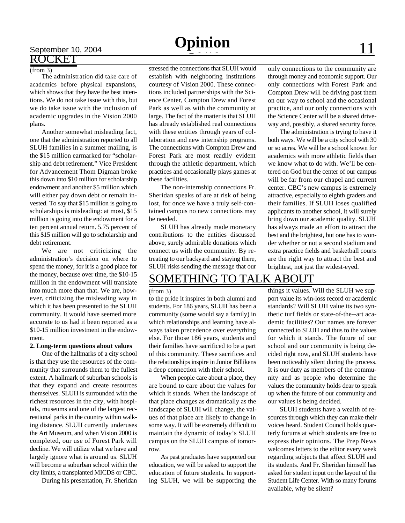## September 10, 2004<br>ROCKET

#### (from 3)

The administration did take care of academics before physical expansions, which shows that they have the best intentions. We do not take issue with this, but we do take issue with the inclusion of academic upgrades in the Vision 2000 plans.

Another somewhat misleading fact, one that the administration reported to all SLUH families in a summer mailing, is the \$15 million earmarked for "scholarship and debt retirement." Vice President for Advancement Thom Digman broke this down into \$10 million for scholarship endowment and another \$5 million which will either pay down debt or remain invested. To say that \$15 million is going to scholarships is misleading: at most, \$15 million is going into the endowment for a ten percent annual return. 5.75 percent of this \$15 million will go to scholarship and debt retirement.

We are not criticizing the administration's decision on where to spend the money, for it is a good place for the money, because over time, the \$10-15 million in the endowment will translate into much more than that. We are, however, criticizing the misleading way in which it has been presented to the SLUH community. It would have seemed more accurate to us had it been reported as a \$10-15 million investment in the endowment.

#### **2. Long-term questions about values**

One of the hallmarks of a city school is that they use the resources of the community that surrounds them to the fullest extent. A hallmark of suburban schools is that they expand and create resources themselves. SLUH is surrounded with the richest resources in the city, with hospitals, museums and one of the largest recreational parks in the country within walking distance. SLUH currently underuses the Art Museum, and when Vision 2000 is completed, our use of Forest Park will decline. We will utilize what we have and largely ignore what is around us. SLUH will become a suburban school within the city limits, a transplanted MICDS or CBC.

During his presentation, Fr. Sheridan

stressed the connections that SLUH would establish with neighboring institutions courtesy of Vision 2000. These connections included partnerships with the Science Center, Compton Drew and Forest Park as well as with the community at large. The fact of the matter is that SLUH has already established real connections with these entities through years of collaboration and new internship programs. The connections with Compton Drew and Forest Park are most readily evident through the athletic department, which practices and occasionally plays games at these facilities.

The non-internship connections Fr. Sheridan speaks of are at risk of being lost, for once we have a truly self-contained campus no new connections may be needed.

SLUH has already made monetary contributions to the entities discussed above, surely admirable donations which connect us with the community. By retreating to our backyard and staying there, SLUH risks sending the message that our only connections to the community are through money and economic support. Our only connections with Forest Park and Compton Drew will be driving past them on our way to school and the occasional practice, and our only connections with the Science Center will be a shared driveway and, possibly, a shared security force.

The administration is trying to have it both ways. We will be a city school with 30 or so acres. We will be a school known for academics with more athletic fields than we know what to do with. We'll be centered on God but the center of our campus will be far from our chapel and current center. CBC's new campus is extremely attractive, especially to eighth graders and their families. If SLUH loses qualified applicants to another school, it will surely bring down our academic quality. SLUH has always made an effort to attract the best and the brightest, but one has to wonder whether or not a second stadium and extra practice fields and basketball courts are the right way to attract the best and brightest, not just the widest-eyed.

### SOMETHING TO TALK ABOUT

#### (from 3)

to the pride it inspires in both alumni and students. For 186 years, SLUH has been a community (some would say a family) in which relationships and learning have always taken precedence over everything else. For those 186 years, students and their families have sacrificed to be a part of this community. These sacrifices and the relationships inspire in Junior Billikens a deep connection with their school.

When people care about a place, they are bound to care about the values for which it stands. When the landscape of that place changes as dramatically as the landscape of SLUH will change, the values of that place are likely to change in some way. It will be extremely difficult to maintain the dynamic of today's SLUH campus on the SLUH campus of tomorrow.

As past graduates have supported our education, we will be asked to support the education of future students. In supporting SLUH, we will be supporting the

things it values. Will the SLUH we support value its win-loss record or academic standards? Will SLUH value its two synthetic turf fields or state-of-the--art academic facilities? Our names are forever connected to SLUH and thus to the values for which it stands. The future of our school and our community is being decided right now, and SLUH students have been noticeably silent during the process. It is our duty as members of the community and as people who determine the values the community holds dear to speak up when the future of our community and our values is being decided.

SLUH students have a wealth of resources through which they can make their voices heard. Student Council holds quarterly forums at which students are free to express their opinions. The Prep News welcomes letters to the editor every week regarding subjects that affect SLUH and its students. And Fr. Sheridan himself has asked for student input on the layout of the Student Life Center. With so many forums available, why be silent?